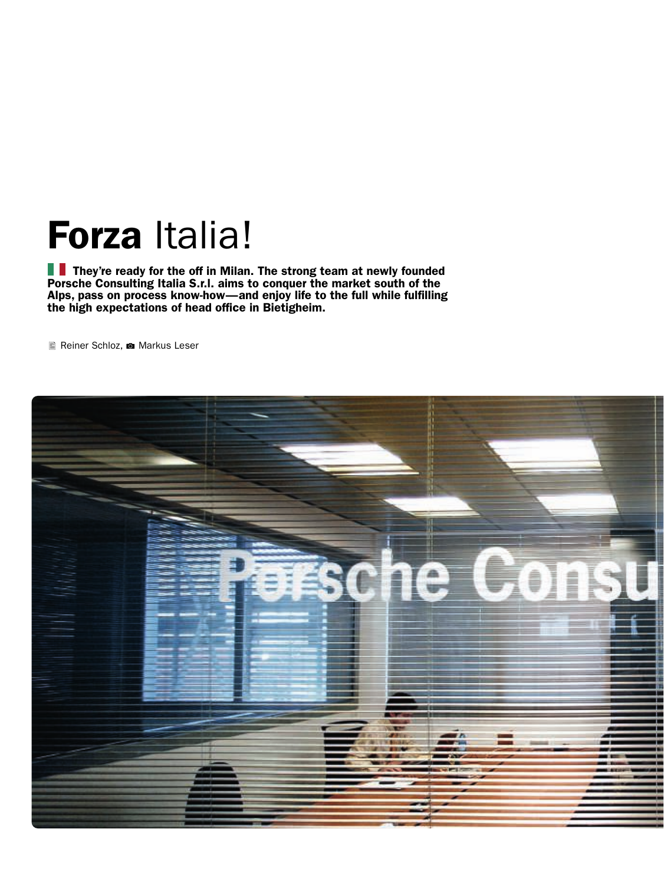## Forza Italia!

They're ready for the off in Milan. The strong team at newly founded Porsche Consulting Italia S.r.l. aims to conquer the market south of the Alps, pass on process know-how—and enjoy life to the full while fulfilling the high expectations of head office in Bietigheim.

Reiner Schloz, **1** Markus Leser

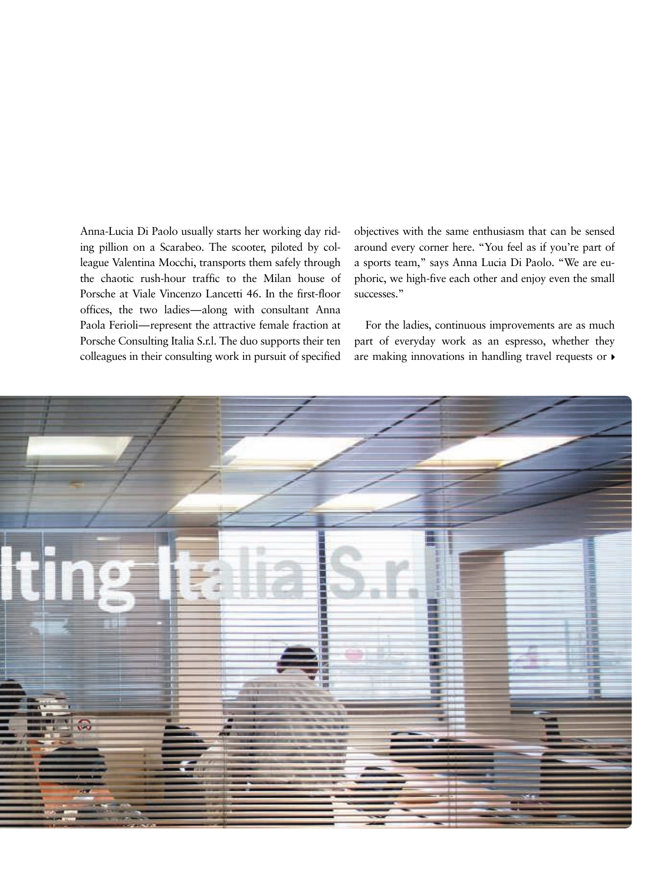Anna-Lucia Di Paolo usually starts her working day riding pillion on a Scarabeo. The scooter, piloted by colleague Valentina Mocchi, transports them safely through the chaotic rush-hour traffic to the Milan house of Porsche at Viale Vincenzo Lancetti 46. In the first-floor offices, the two ladies—along with consultant Anna Paola Ferioli—represent the attractive female fraction at Porsche Consulting Italia S.r.l. The duo supports their ten colleagues in their consulting work in pursuit of specified objectives with the same enthusiasm that can be sensed around every corner here. "You feel as if you're part of a sports team," says Anna Lucia Di Paolo. "We are euphoric, we high-five each other and enjoy even the small successes."

For the ladies, continuous improvements are as much part of everyday work as an espresso, whether they are making innovations in handling travel requests or  $\blacktriangleright$ 

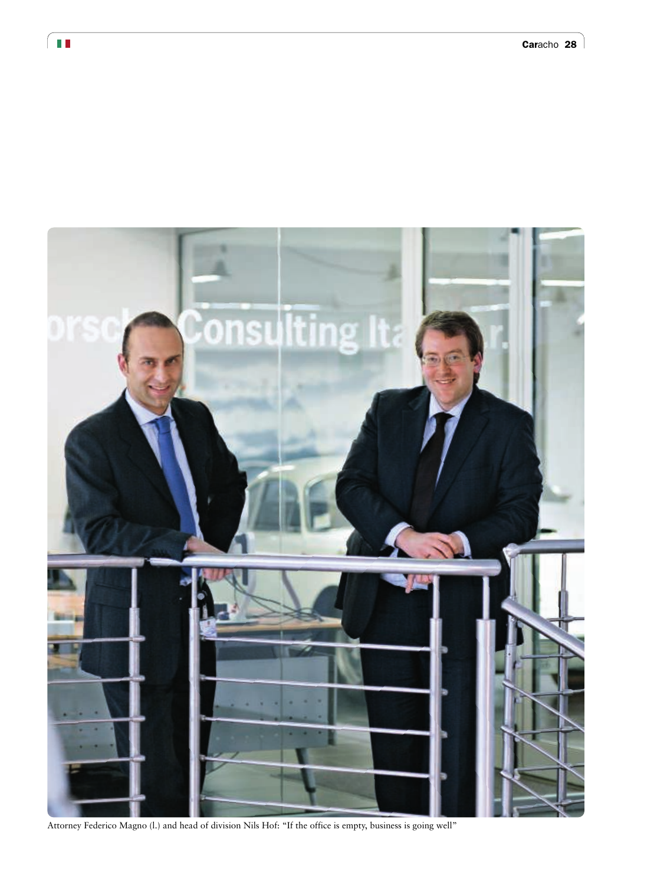

Attorney Federico Magno (l.) and head of division Nils Hof: "If the office is empty, business is going well"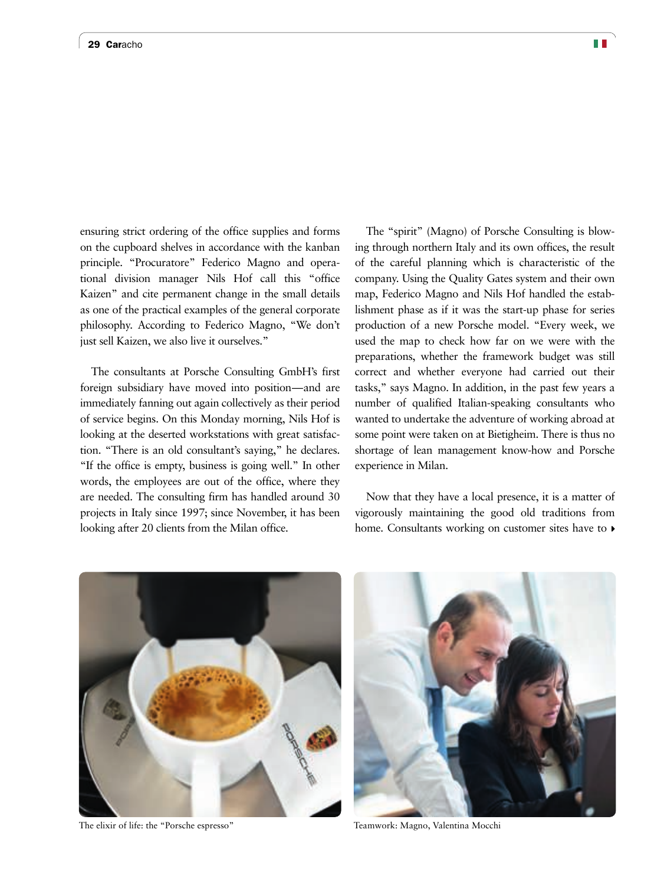ensuring strict ordering of the office supplies and forms on the cupboard shelves in accordance with the kanban principle. "Procuratore" Federico Magno and operational division manager Nils Hof call this "office Kaizen" and cite permanent change in the small details as one of the practical examples of the general corporate philosophy. According to Federico Magno, "We don't just sell Kaizen, we also live it ourselves."

The consultants at Porsche Consulting GmbH's first foreign subsidiary have moved into position—and are immediately fanning out again collectively as their period of service begins. On this Monday morning, Nils Hof is looking at the deserted workstations with great satisfaction. "There is an old consultant's saying," he declares. "If the office is empty, business is going well." In other words, the employees are out of the office, where they are needed. The consulting firm has handled around 30 projects in Italy since 1997; since November, it has been looking after 20 clients from the Milan office.

The "spirit" (Magno) of Porsche Consulting is blowing through northern Italy and its own offices, the result of the careful planning which is characteristic of the company. Using the Quality Gates system and their own map, Federico Magno and Nils Hof handled the establishment phase as if it was the start-up phase for series production of a new Porsche model. "Every week, we used the map to check how far on we were with the preparations, whether the framework budget was still correct and whether everyone had carried out their tasks," says Magno. In addition, in the past few years a number of qualified Italian-speaking consultants who wanted to undertake the adventure of working abroad at some point were taken on at Bietigheim. There is thus no shortage of lean management know-how and Porsche experience in Milan.

Now that they have a local presence, it is a matter of vigorously maintaining the good old traditions from home. Consultants working on customer sites have to  $\rho$ 



The elixir of life: the "Porsche espresso" Teamwork: Magno, Valentina Mocchi

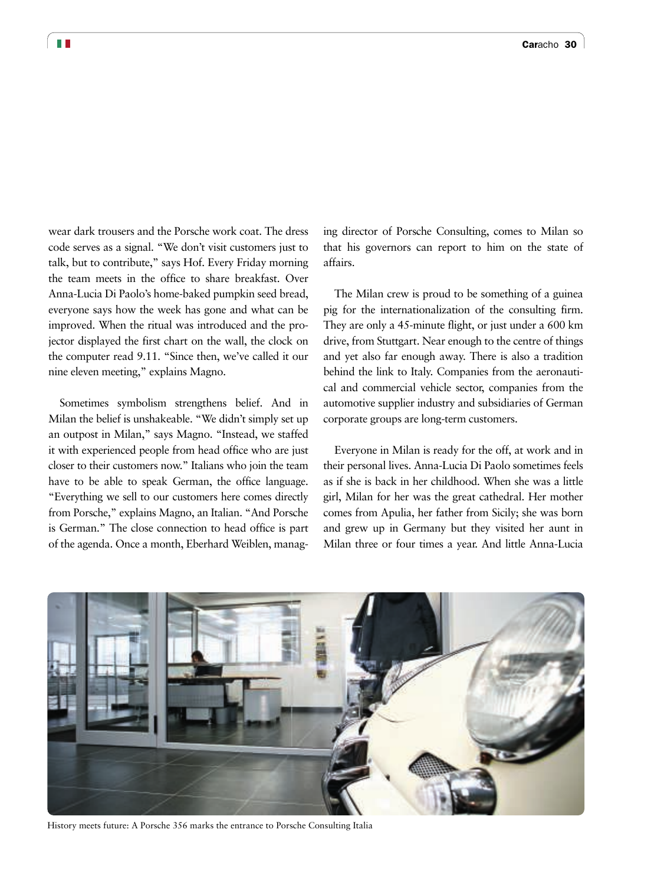wear dark trousers and the Porsche work coat. The dress code serves as a signal. "We don't visit customers just to talk, but to contribute," says Hof. Every Friday morning the team meets in the office to share breakfast. Over Anna-Lucia Di Paolo's home-baked pumpkin seed bread, everyone says how the week has gone and what can be improved. When the ritual was introduced and the projector displayed the first chart on the wall, the clock on the computer read 9.11. "Since then, we've called it our nine eleven meeting," explains Magno.

Sometimes symbolism strengthens belief. And in Milan the belief is unshakeable. "We didn't simply set up an outpost in Milan," says Magno. "Instead, we staffed it with experienced people from head office who are just closer to their customers now." Italians who join the team have to be able to speak German, the office language. "Everything we sell to our customers here comes directly from Porsche," explains Magno, an Italian. "And Porsche is German." The close connection to head office is part of the agenda. Once a month, Eberhard Weiblen, managing director of Porsche Consulting, comes to Milan so that his governors can report to him on the state of affairs.

The Milan crew is proud to be something of a guinea pig for the internationalization of the consulting firm. They are only a 45-minute flight, or just under a 600 km drive, from Stuttgart. Near enough to the centre of things and yet also far enough away. There is also a tradition behind the link to Italy. Companies from the aeronautical and commercial vehicle sector, companies from the automotive supplier industry and subsidiaries of German corporate groups are long-term customers.

Everyone in Milan is ready for the off, at work and in their personal lives. Anna-Lucia Di Paolo sometimes feels as if she is back in her childhood. When she was a little girl, Milan for her was the great cathedral. Her mother comes from Apulia, her father from Sicily; she was born and grew up in Germany but they visited her aunt in Milan three or four times a year. And little Anna-Lucia



History meets future: A Porsche 356 marks the entrance to Porsche Consulting Italia

T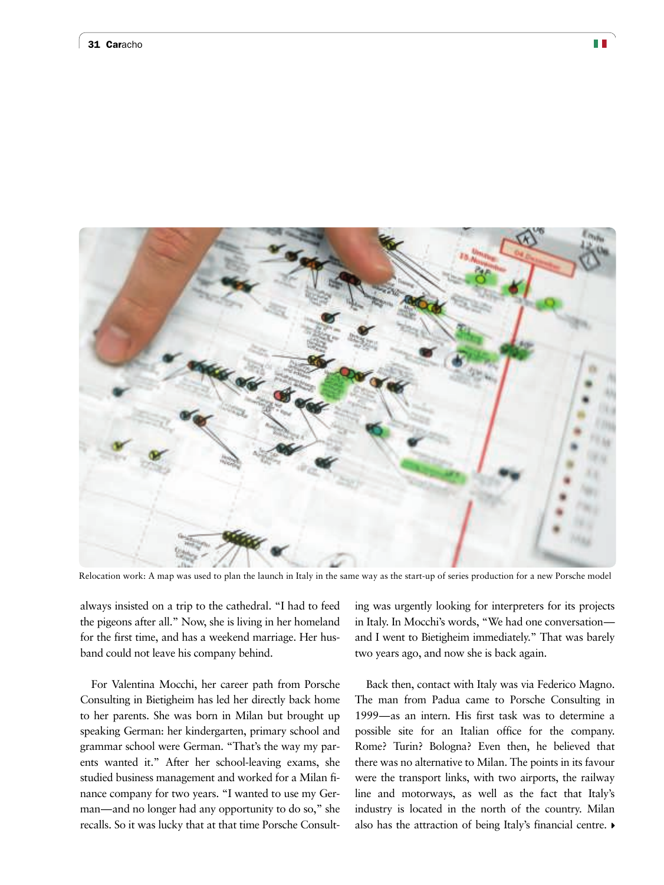

Relocation work: A map was used to plan the launch in Italy in the same way as the start-up of series production for a new Porsche model

always insisted on a trip to the cathedral. "I had to feed the pigeons after all." Now, she is living in her homeland for the first time, and has a weekend marriage. Her husband could not leave his company behind.

For Valentina Mocchi, her career path from Porsche Consulting in Bietigheim has led her directly back home to her parents. She was born in Milan but brought up speaking German: her kindergarten, primary school and grammar school were German. "That's the way my parents wanted it." After her school-leaving exams, she studied business management and worked for a Milan finance company for two years. "I wanted to use my German—and no longer had any opportunity to do so," she recalls. So it was lucky that at that time Porsche Consulting was urgently looking for interpreters for its projects in Italy. In Mocchi's words, "We had one conversation and I went to Bietigheim immediately." That was barely two years ago, and now she is back again.

Back then, contact with Italy was via Federico Magno. The man from Padua came to Porsche Consulting in 1999—as an intern. His first task was to determine a possible site for an Italian office for the company. Rome? Turin? Bologna? Even then, he believed that there was no alternative to Milan. The points in its favour were the transport links, with two airports, the railway line and motorways, as well as the fact that Italy's industry is located in the north of the country. Milan also has the attraction of being Italy's financial centre.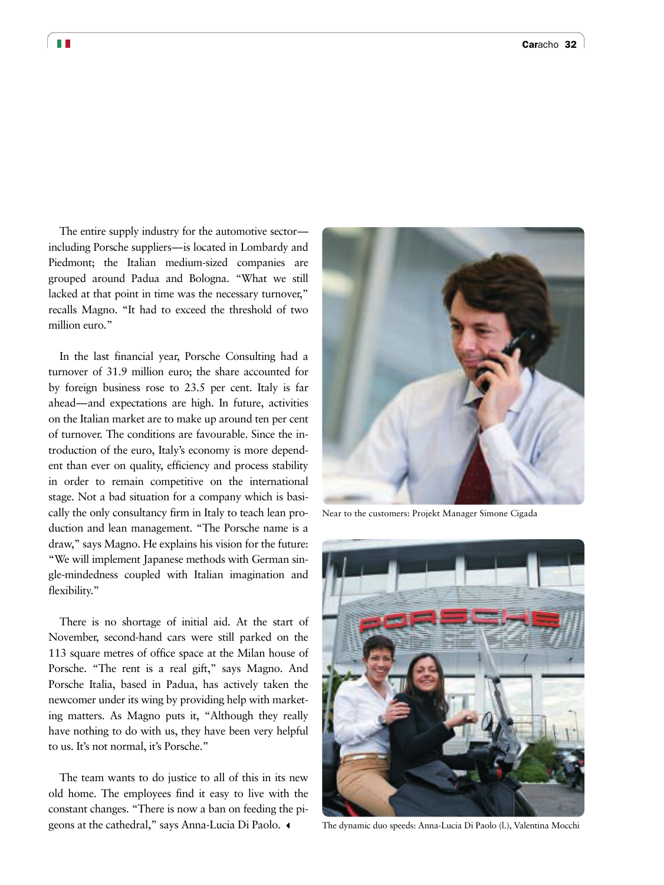The entire supply industry for the automotive sector including Porsche suppliers—is located in Lombardy and Piedmont; the Italian medium-sized companies are grouped around Padua and Bologna. "What we still lacked at that point in time was the necessary turnover," recalls Magno. "It had to exceed the threshold of two million euro."

In the last financial year, Porsche Consulting had a turnover of 31.9 million euro; the share accounted for by foreign business rose to 23.5 per cent. Italy is far ahead—and expectations are high. In future, activities on the Italian market are to make up around ten per cent of turnover. The conditions are favourable. Since the introduction of the euro, Italy's economy is more dependent than ever on quality, efficiency and process stability in order to remain competitive on the international stage. Not a bad situation for a company which is basically the only consultancy firm in Italy to teach lean production and lean management. "The Porsche name is a draw," says Magno. He explains his vision for the future: "We will implement Japanese methods with German single-mindedness coupled with Italian imagination and flexibility."

There is no shortage of initial aid. At the start of November, second-hand cars were still parked on the 113 square metres of office space at the Milan house of Porsche. "The rent is a real gift," says Magno. And Porsche Italia, based in Padua, has actively taken the newcomer under its wing by providing help with marketing matters. As Magno puts it, "Although they really have nothing to do with us, they have been very helpful to us. It's not normal, it's Porsche."

The team wants to do justice to all of this in its new old home. The employees find it easy to live with the constant changes. "There is now a ban on feeding the pigeons at the cathedral," says Anna-Lucia Di Paolo.  $\triangleleft$ 



Near to the customers: Projekt Manager Simone Cigada



The dynamic duo speeds: Anna-Lucia Di Paolo (l.), Valentina Mocchi

T